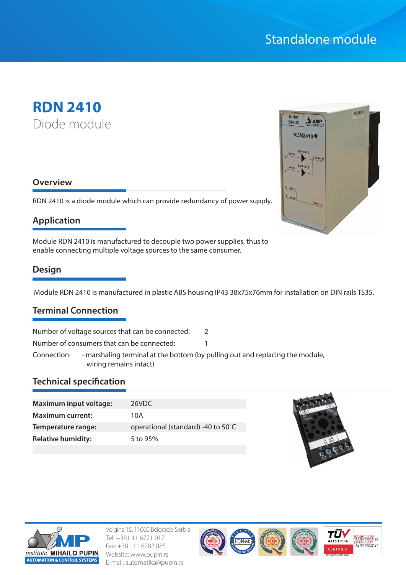# Standalone module

# **RDN 2410** Diode module

#### **Overview**

RDN 2410 is a diode module which can provide redundancy of power supply.

### **Application**

Module RDN 2410 is manufactured to decouple two power supplies, thus to enable connecting multiple voltage sources to the same consumer.

### **Design**

Module RDN 2410 is manufactured in plastic ABS housing IP43 38x75x76mm for installation on DIN rails TS35.

### **Terminal Connection**

Number of voltage sources that can be connected: 2

Number of consumers that can be connected: 1

Connection: - marshaling terminal at the bottom (by pulling out and replacing the module, wiring remains intact)

#### **Technical specification**

| <b>Maximum input voltage:</b> | 26VDC                              |
|-------------------------------|------------------------------------|
| <b>Maximum current:</b>       | 10A                                |
| Temperature range:            | operational (standard) -40 to 50°C |
| <b>Relative humidity:</b>     | 5 to $95%$                         |
|                               |                                    |





Volgina 15, 11060 Belgrade, Serbia Tel: +381 11 6771 017 Fax: +381 11 6782 885 Website: www.pupin.rs E-mail: automatika@pupin.rs